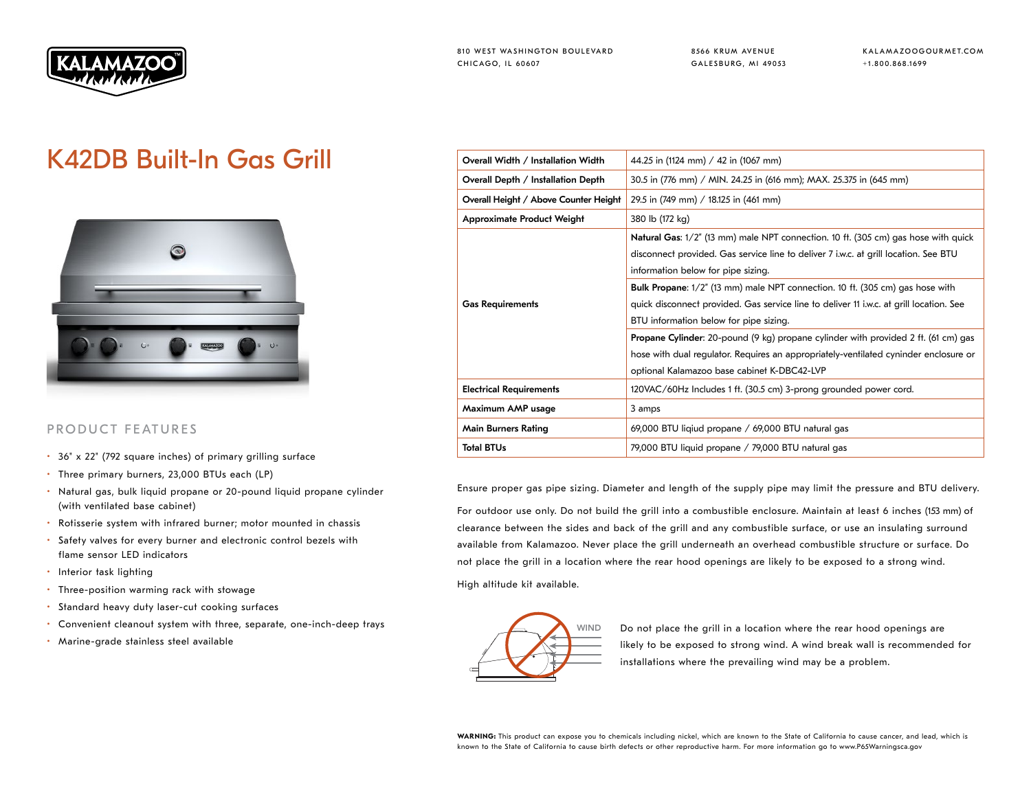

8566 KRUM AVENUE GALESBURG, MI 49053 KALAMAZOOGOURMET.COM +1.800.868.1699

## K42DB Built-In Gas Grill



## PRODUCT FEATURES

- 36" x 22" (792 square inches) of primary grilling surface
- Three primary burners, 23,000 BTUs each (LP)
- Natural gas, bulk liquid propane or 20-pound liquid propane cylinder (with ventilated base cabinet)
- Rotisserie system with infrared burner; motor mounted in chassis
- Safety valves for every burner and electronic control bezels with flame sensor LED indicators
- Interior task lighting
- Three-position warming rack with stowage
- Standard heavy duty laser-cut cooking surfaces
- Convenient cleanout system with three, separate, one-inch-deep trays
- Marine-grade stainless steel available

| Overall Width / Installation Width    | 44.25 in (1124 mm) / 42 in (1067 mm)                                                                                                                                                                                             |  |  |  |
|---------------------------------------|----------------------------------------------------------------------------------------------------------------------------------------------------------------------------------------------------------------------------------|--|--|--|
| Overall Depth / Installation Depth    | 30.5 in (776 mm) / MIN. 24.25 in (616 mm); MAX. 25.375 in (645 mm)                                                                                                                                                               |  |  |  |
| Overall Height / Above Counter Height | 29.5 in (749 mm) / 18.125 in (461 mm)<br>380 lb (172 kg)                                                                                                                                                                         |  |  |  |
| <b>Approximate Product Weight</b>     |                                                                                                                                                                                                                                  |  |  |  |
|                                       | <b>Natural Gas:</b> 1/2" (13 mm) male NPT connection. 10 ft. (305 cm) gas hose with quick<br>disconnect provided. Gas service line to deliver 7 i.w.c. at grill location. See BTU<br>information below for pipe sizing.          |  |  |  |
| <b>Gas Requirements</b>               | <b>Bulk Propane:</b> $1/2$ " (13 mm) male NPT connection. 10 ft. (305 cm) gas hose with<br>quick disconnect provided. Gas service line to deliver 11 i.w.c. at grill location. See<br>BTU information below for pipe sizing.     |  |  |  |
|                                       | <b>Propane Cylinder:</b> 20-pound (9 kg) propane cylinder with provided 2 ft. (61 cm) gas<br>hose with dual regulator. Requires an appropriately-ventilated cyninder enclosure or<br>optional Kalamazoo base cabinet K-DBC42-LVP |  |  |  |
| <b>Electrical Requirements</b>        | 120VAC/60Hz Includes 1 ft. (30.5 cm) 3-prong grounded power cord.                                                                                                                                                                |  |  |  |
| Maximum AMP usage                     | 3 amps                                                                                                                                                                                                                           |  |  |  |
| Main Burners Rating                   | 69,000 BTU liqiud propane / 69,000 BTU natural gas                                                                                                                                                                               |  |  |  |
| <b>Total BTUs</b>                     | 79,000 BTU liquid propane / 79,000 BTU natural gas                                                                                                                                                                               |  |  |  |

Ensure proper gas pipe sizing. Diameter and length of the supply pipe may limit the pressure and BTU delivery.

For outdoor use only. Do not build the grill into a combustible enclosure. Maintain at least 6 inches (153 mm) of clearance between the sides and back of the grill and any combustible surface, or use an insulating surround available from Kalamazoo. Never place the grill underneath an overhead combustible structure or surface. Do not place the grill in a location where the rear hood openings are likely to be exposed to a strong wind.

High altitude kit available.



WIND Do not place the grill in a location where the rear hood openings are likely to be exposed to strong wind. A wind break wall is recommended for installations where the prevailing wind may be a problem.

WARNING: This product can expose you to chemicals including nickel, which are known to the State of California to cause cancer, and lead, which is known to the State of California to cause birth defects or other reproductive harm. For more information go to www.P65Warningsca.gov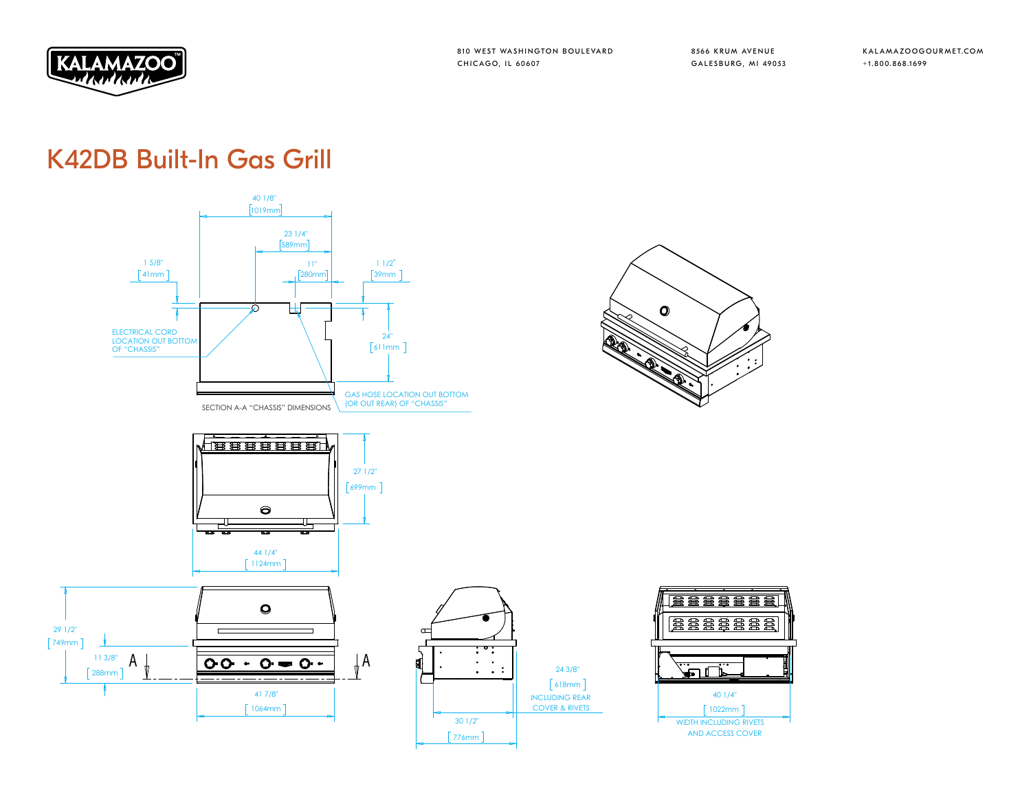

24 3/8"  $618mm$ ] INCLUDING REAR COVER & RIVETS

 $\overline{\cdot}$ 

8566 KRUM AVENUE GALESBURG, MI 49053 KALAMAZOOGOURMET.COM +1.800.868.1699

## K42DB Built-In Gas Grill